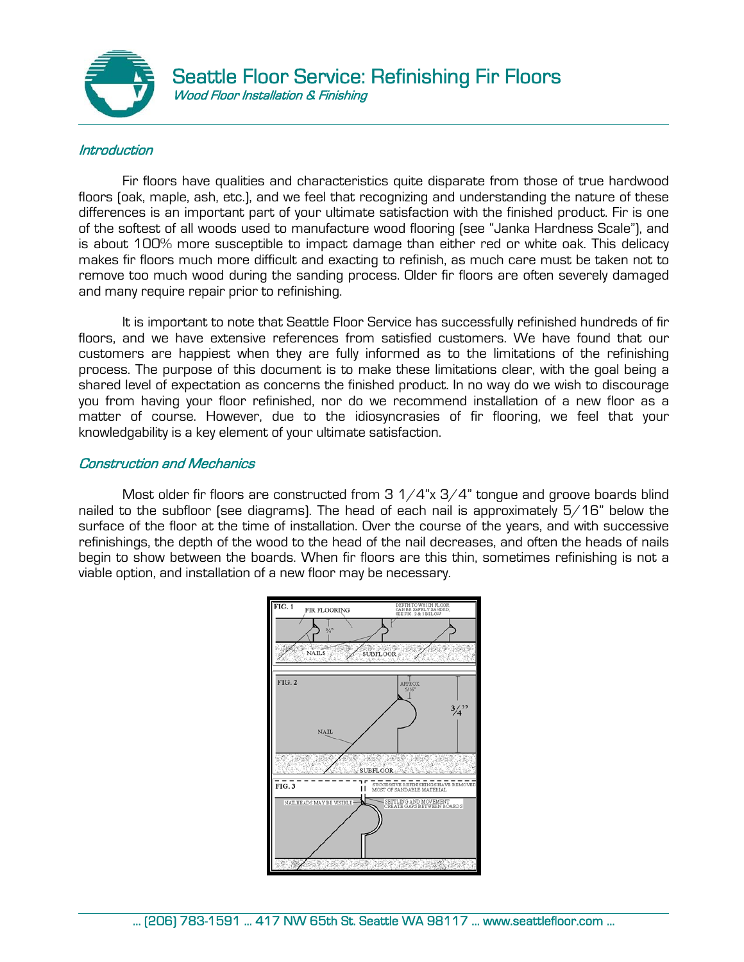

## **Introduction**

Fir floors have qualities and characteristics quite disparate from those of true hardwood floors (oak, maple, ash, etc.), and we feel that recognizing and understanding the nature of these differences is an important part of your ultimate satisfaction with the finished product. Fir is one of the softest of all woods used to manufacture wood flooring (see "Janka Hardness Scale"), and is about 100% more susceptible to impact damage than either red or white oak. This delicacy makes fir floors much more difficult and exacting to refinish, as much care must be taken not to remove too much wood during the sanding process. Older fir floors are often severely damaged and many require repair prior to refinishing.

It is important to note that Seattle Floor Service has successfully refinished hundreds of fir floors, and we have extensive references from satisfied customers. We have found that our customers are happiest when they are fully informed as to the limitations of the refinishing process. The purpose of this document is to make these limitations clear, with the goal being a shared level of expectation as concerns the finished product. In no way do we wish to discourage you from having your floor refinished, nor do we recommend installation of a new floor as a matter of course. However, due to the idiosyncrasies of fir flooring, we feel that your knowledgability is a key element of your ultimate satisfaction.

## Construction and Mechanics

Most older fir floors are constructed from 3  $1/4$ "x 3/4" tongue and groove boards blind nailed to the subfloor (see diagrams). The head of each nail is approximately 5/16" below the surface of the floor at the time of installation. Over the course of the years, and with successive refinishings, the depth of the wood to the head of the nail decreases, and often the heads of nails begin to show between the boards. When fir floors are this thin, sometimes refinishing is not a viable option, and installation of a new floor may be necessary.

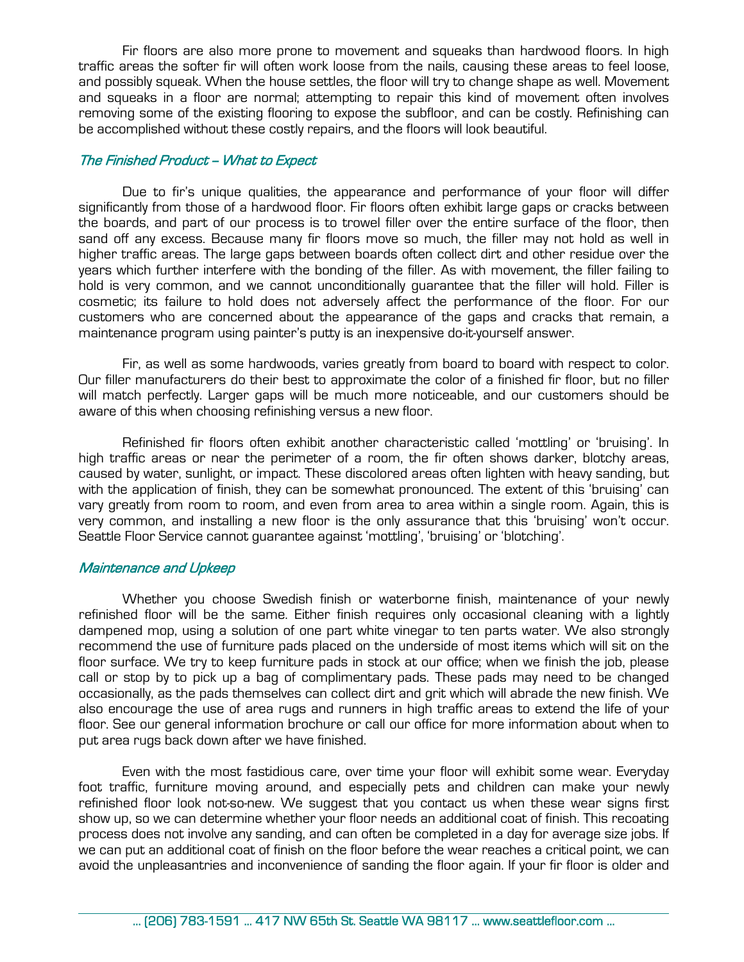Fir floors are also more prone to movement and squeaks than hardwood floors. In high traffic areas the softer fir will often work loose from the nails, causing these areas to feel loose, and possibly squeak. When the house settles, the floor will try to change shape as well. Movement and squeaks in a floor are normal; attempting to repair this kind of movement often involves removing some of the existing flooring to expose the subfloor, and can be costly. Refinishing can be accomplished without these costly repairs, and the floors will look beautiful.

## The Finished Product - What to Expect

 Due to fir's unique qualities, the appearance and performance of your floor will differ significantly from those of a hardwood floor. Fir floors often exhibit large gaps or cracks between the boards, and part of our process is to trowel filler over the entire surface of the floor, then sand off any excess. Because many fir floors move so much, the filler may not hold as well in higher traffic areas. The large gaps between boards often collect dirt and other residue over the years which further interfere with the bonding of the filler. As with movement, the filler failing to hold is very common, and we cannot unconditionally guarantee that the filler will hold. Filler is cosmetic; its failure to hold does not adversely affect the performance of the floor. For our customers who are concerned about the appearance of the gaps and cracks that remain, a maintenance program using painter's putty is an inexpensive do-it-yourself answer.

 Fir, as well as some hardwoods, varies greatly from board to board with respect to color. Our filler manufacturers do their best to approximate the color of a finished fir floor, but no filler will match perfectly. Larger gaps will be much more noticeable, and our customers should be aware of this when choosing refinishing versus a new floor.

 Refinished fir floors often exhibit another characteristic called 'mottling' or 'bruising'. In high traffic areas or near the perimeter of a room, the fir often shows darker, blotchy areas, caused by water, sunlight, or impact. These discolored areas often lighten with heavy sanding, but with the application of finish, they can be somewhat pronounced. The extent of this 'bruising' can vary greatly from room to room, and even from area to area within a single room. Again, this is very common, and installing a new floor is the only assurance that this 'bruising' won't occur. Seattle Floor Service cannot guarantee against 'mottling', 'bruising' or 'blotching'.

## Maintenance and Upkeep

 Whether you choose Swedish finish or waterborne finish, maintenance of your newly refinished floor will be the same. Either finish requires only occasional cleaning with a lightly dampened mop, using a solution of one part white vinegar to ten parts water. We also strongly recommend the use of furniture pads placed on the underside of most items which will sit on the floor surface. We try to keep furniture pads in stock at our office; when we finish the job, please call or stop by to pick up a bag of complimentary pads. These pads may need to be changed occasionally, as the pads themselves can collect dirt and grit which will abrade the new finish. We also encourage the use of area rugs and runners in high traffic areas to extend the life of your floor. See our general information brochure or call our office for more information about when to put area rugs back down after we have finished.

 Even with the most fastidious care, over time your floor will exhibit some wear. Everyday foot traffic, furniture moving around, and especially pets and children can make your newly refinished floor look not-so-new. We suggest that you contact us when these wear signs first show up, so we can determine whether your floor needs an additional coat of finish. This recoating process does not involve any sanding, and can often be completed in a day for average size jobs. If we can put an additional coat of finish on the floor before the wear reaches a critical point, we can avoid the unpleasantries and inconvenience of sanding the floor again. If your fir floor is older and